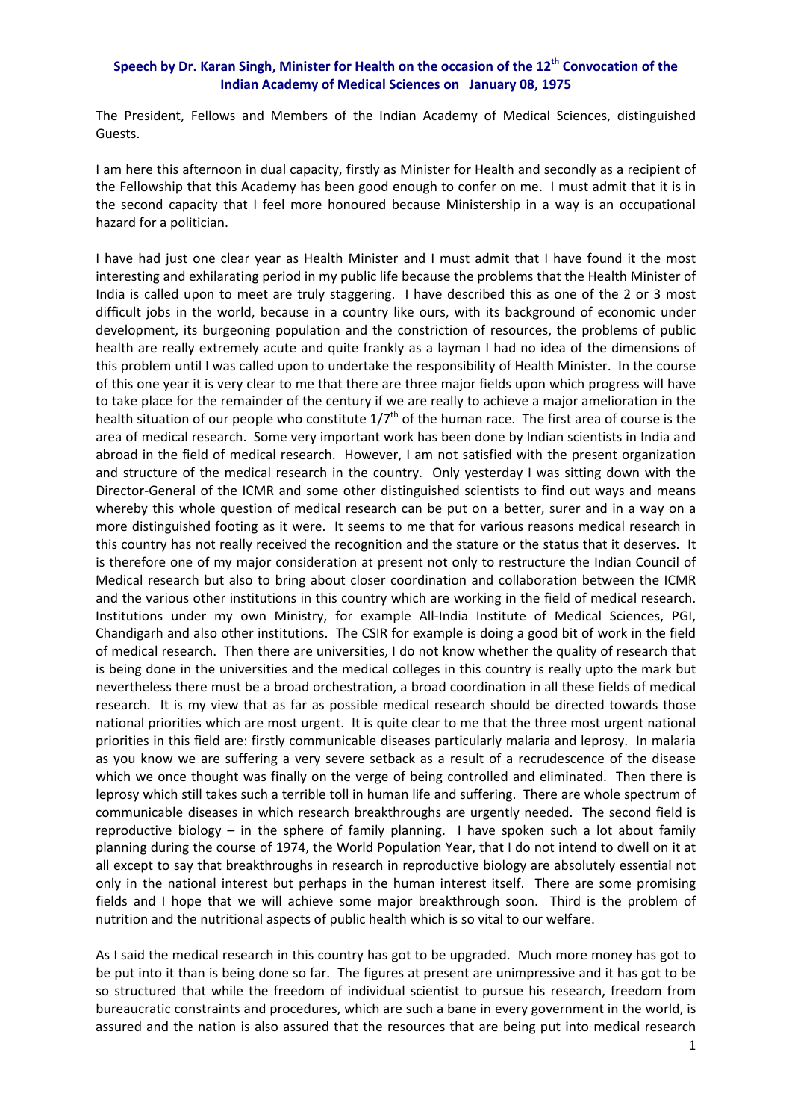## **Speech by Dr. Karan Singh, Minister for Health on the occasion of the 12th Convocation of the Indian Academy of Medical Sciences on January 08, 1975**

The President, Fellows and Members of the Indian Academy of Medical Sciences, distinguished Guests.

I am here this afternoon in dual capacity, firstly as Minister for Health and secondly as a recipient of the Fellowship that this Academy has been good enough to confer on me. I must admit that it is in the second capacity that I feel more honoured because Ministership in a way is an occupational hazard for a politician.

I have had just one clear year as Health Minister and I must admit that I have found it the most interesting and exhilarating period in my public life because the problems that the Health Minister of India is called upon to meet are truly staggering. I have described this as one of the 2 or 3 most difficult jobs in the world, because in a country like ours, with its background of economic under development, its burgeoning population and the constriction of resources, the problems of public health are really extremely acute and quite frankly as a layman I had no idea of the dimensions of this problem until I was called upon to undertake the responsibility of Health Minister. In the course of this one year it is very clear to me that there are three major fields upon which progress will have to take place for the remainder of the century if we are really to achieve a major amelioration in the health situation of our people who constitute  $1/7<sup>th</sup>$  of the human race. The first area of course is the area of medical research. Some very important work has been done by Indian scientists in India and abroad in the field of medical research. However, I am not satisfied with the present organization and structure of the medical research in the country. Only yesterday I was sitting down with the Director‐General of the ICMR and some other distinguished scientists to find out ways and means whereby this whole question of medical research can be put on a better, surer and in a way on a more distinguished footing as it were. It seems to me that for various reasons medical research in this country has not really received the recognition and the stature or the status that it deserves. It is therefore one of my major consideration at present not only to restructure the Indian Council of Medical research but also to bring about closer coordination and collaboration between the ICMR and the various other institutions in this country which are working in the field of medical research. Institutions under my own Ministry, for example All‐India Institute of Medical Sciences, PGI, Chandigarh and also other institutions. The CSIR for example is doing a good bit of work in the field of medical research. Then there are universities, I do not know whether the quality of research that is being done in the universities and the medical colleges in this country is really upto the mark but nevertheless there must be a broad orchestration, a broad coordination in all these fields of medical research. It is my view that as far as possible medical research should be directed towards those national priorities which are most urgent. It is quite clear to me that the three most urgent national priorities in this field are: firstly communicable diseases particularly malaria and leprosy. In malaria as you know we are suffering a very severe setback as a result of a recrudescence of the disease which we once thought was finally on the verge of being controlled and eliminated. Then there is leprosy which still takes such a terrible toll in human life and suffering. There are whole spectrum of communicable diseases in which research breakthroughs are urgently needed. The second field is reproductive biology – in the sphere of family planning. I have spoken such a lot about family planning during the course of 1974, the World Population Year, that I do not intend to dwell on it at all except to say that breakthroughs in research in reproductive biology are absolutely essential not only in the national interest but perhaps in the human interest itself. There are some promising fields and I hope that we will achieve some major breakthrough soon. Third is the problem of nutrition and the nutritional aspects of public health which is so vital to our welfare.

As I said the medical research in this country has got to be upgraded. Much more money has got to be put into it than is being done so far. The figures at present are unimpressive and it has got to be so structured that while the freedom of individual scientist to pursue his research, freedom from bureaucratic constraints and procedures, which are such a bane in every government in the world, is assured and the nation is also assured that the resources that are being put into medical research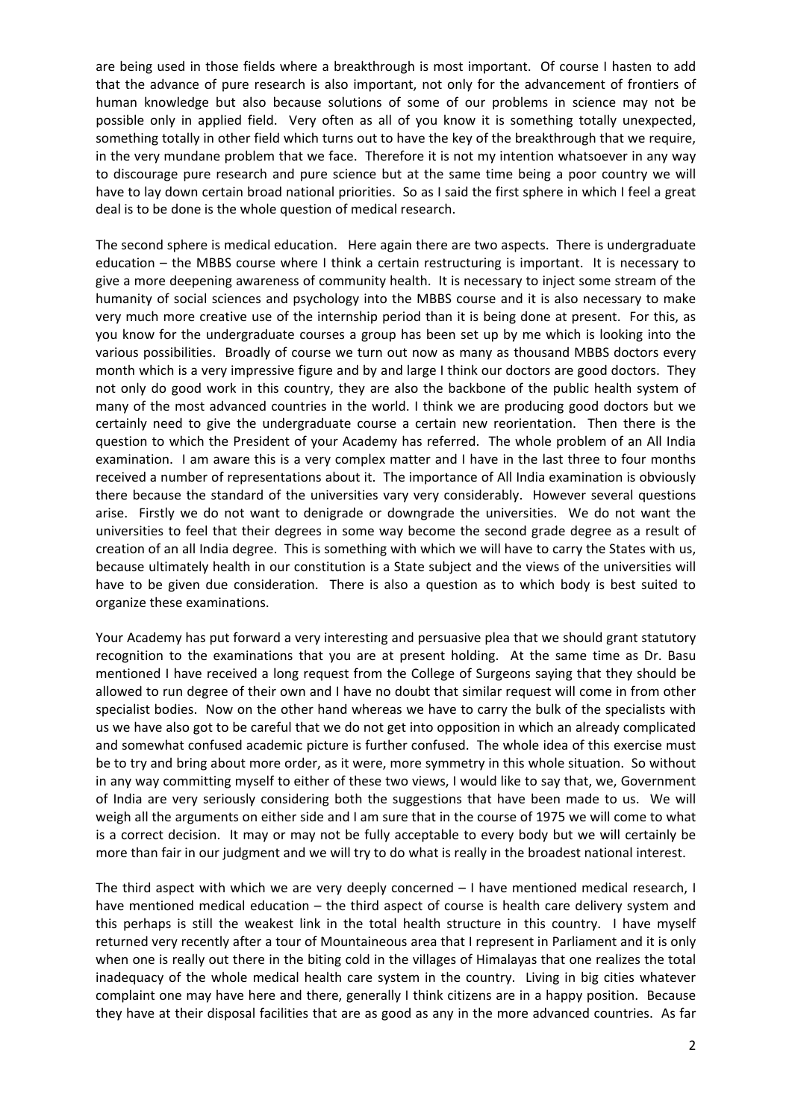are being used in those fields where a breakthrough is most important. Of course I hasten to add that the advance of pure research is also important, not only for the advancement of frontiers of human knowledge but also because solutions of some of our problems in science may not be possible only in applied field. Very often as all of you know it is something totally unexpected, something totally in other field which turns out to have the key of the breakthrough that we require, in the very mundane problem that we face. Therefore it is not my intention whatsoever in any way to discourage pure research and pure science but at the same time being a poor country we will have to lay down certain broad national priorities. So as I said the first sphere in which I feel a great deal is to be done is the whole question of medical research.

The second sphere is medical education. Here again there are two aspects. There is undergraduate education – the MBBS course where I think a certain restructuring is important. It is necessary to give a more deepening awareness of community health. It is necessary to inject some stream of the humanity of social sciences and psychology into the MBBS course and it is also necessary to make very much more creative use of the internship period than it is being done at present. For this, as you know for the undergraduate courses a group has been set up by me which is looking into the various possibilities. Broadly of course we turn out now as many as thousand MBBS doctors every month which is a very impressive figure and by and large I think our doctors are good doctors. They not only do good work in this country, they are also the backbone of the public health system of many of the most advanced countries in the world. I think we are producing good doctors but we certainly need to give the undergraduate course a certain new reorientation. Then there is the question to which the President of your Academy has referred. The whole problem of an All India examination. I am aware this is a very complex matter and I have in the last three to four months received a number of representations about it. The importance of All India examination is obviously there because the standard of the universities vary very considerably. However several questions arise. Firstly we do not want to denigrade or downgrade the universities. We do not want the universities to feel that their degrees in some way become the second grade degree as a result of creation of an all India degree. This is something with which we will have to carry the States with us, because ultimately health in our constitution is a State subject and the views of the universities will have to be given due consideration. There is also a question as to which body is best suited to organize these examinations.

Your Academy has put forward a very interesting and persuasive plea that we should grant statutory recognition to the examinations that you are at present holding. At the same time as Dr. Basu mentioned I have received a long request from the College of Surgeons saying that they should be allowed to run degree of their own and I have no doubt that similar request will come in from other specialist bodies. Now on the other hand whereas we have to carry the bulk of the specialists with us we have also got to be careful that we do not get into opposition in which an already complicated and somewhat confused academic picture is further confused. The whole idea of this exercise must be to try and bring about more order, as it were, more symmetry in this whole situation. So without in any way committing myself to either of these two views, I would like to say that, we, Government of India are very seriously considering both the suggestions that have been made to us. We will weigh all the arguments on either side and I am sure that in the course of 1975 we will come to what is a correct decision. It may or may not be fully acceptable to every body but we will certainly be more than fair in our judgment and we will try to do what is really in the broadest national interest.

The third aspect with which we are very deeply concerned – I have mentioned medical research, I have mentioned medical education – the third aspect of course is health care delivery system and this perhaps is still the weakest link in the total health structure in this country. I have myself returned very recently after a tour of Mountaineous area that I represent in Parliament and it is only when one is really out there in the biting cold in the villages of Himalayas that one realizes the total inadequacy of the whole medical health care system in the country. Living in big cities whatever complaint one may have here and there, generally I think citizens are in a happy position. Because they have at their disposal facilities that are as good as any in the more advanced countries. As far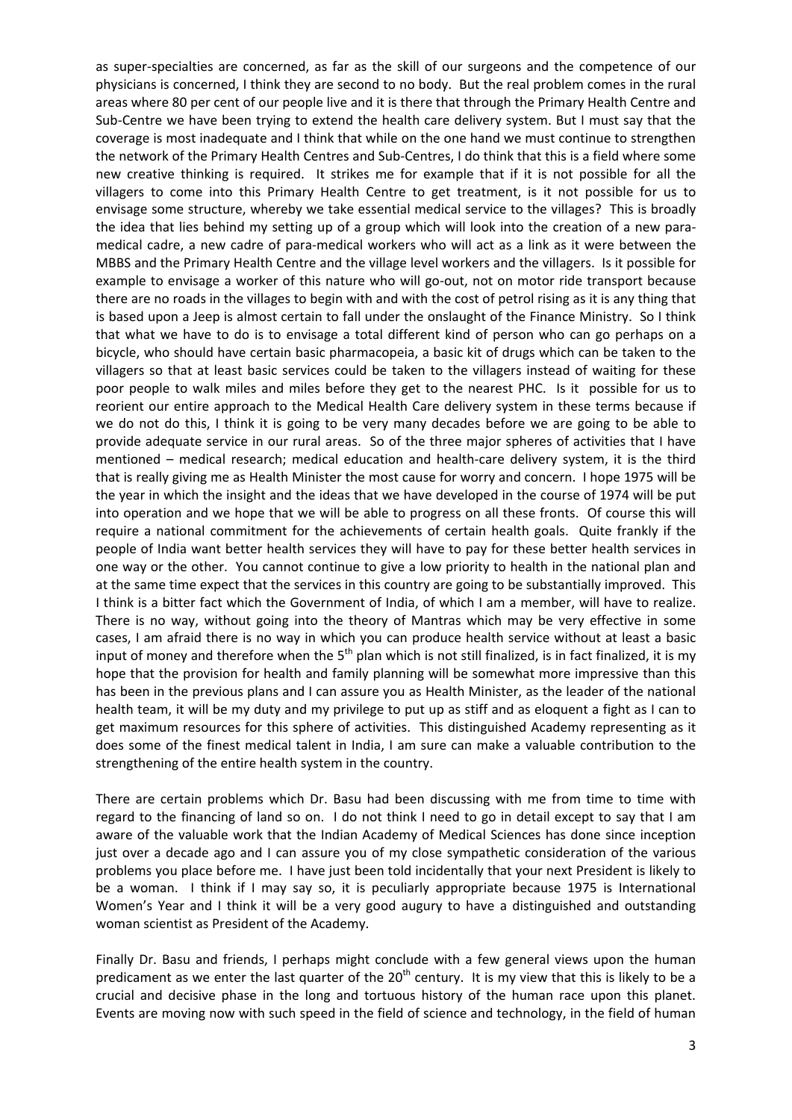as super‐specialties are concerned, as far as the skill of our surgeons and the competence of our physicians is concerned, I think they are second to no body. But the real problem comes in the rural areas where 80 per cent of our people live and it is there that through the Primary Health Centre and Sub‐Centre we have been trying to extend the health care delivery system. But I must say that the coverage is most inadequate and I think that while on the one hand we must continue to strengthen the network of the Primary Health Centres and Sub‐Centres, I do think that this is a field where some new creative thinking is required. It strikes me for example that if it is not possible for all the villagers to come into this Primary Health Centre to get treatment, is it not possible for us to envisage some structure, whereby we take essential medical service to the villages? This is broadly the idea that lies behind my setting up of a group which will look into the creation of a new para‐ medical cadre, a new cadre of para‐medical workers who will act as a link as it were between the MBBS and the Primary Health Centre and the village level workers and the villagers. Is it possible for example to envisage a worker of this nature who will go-out, not on motor ride transport because there are no roads in the villages to begin with and with the cost of petrol rising as it is any thing that is based upon a Jeep is almost certain to fall under the onslaught of the Finance Ministry. So I think that what we have to do is to envisage a total different kind of person who can go perhaps on a bicycle, who should have certain basic pharmacopeia, a basic kit of drugs which can be taken to the villagers so that at least basic services could be taken to the villagers instead of waiting for these poor people to walk miles and miles before they get to the nearest PHC. Is it possible for us to reorient our entire approach to the Medical Health Care delivery system in these terms because if we do not do this, I think it is going to be very many decades before we are going to be able to provide adequate service in our rural areas. So of the three major spheres of activities that I have mentioned – medical research; medical education and health‐care delivery system, it is the third that is really giving me as Health Minister the most cause for worry and concern. I hope 1975 will be the year in which the insight and the ideas that we have developed in the course of 1974 will be put into operation and we hope that we will be able to progress on all these fronts. Of course this will require a national commitment for the achievements of certain health goals. Quite frankly if the people of India want better health services they will have to pay for these better health services in one way or the other. You cannot continue to give a low priority to health in the national plan and at the same time expect that the services in this country are going to be substantially improved. This I think is a bitter fact which the Government of India, of which I am a member, will have to realize. There is no way, without going into the theory of Mantras which may be very effective in some cases, I am afraid there is no way in which you can produce health service without at least a basic input of money and therefore when the  $5<sup>th</sup>$  plan which is not still finalized, is in fact finalized, it is my hope that the provision for health and family planning will be somewhat more impressive than this has been in the previous plans and I can assure you as Health Minister, as the leader of the national health team, it will be my duty and my privilege to put up as stiff and as eloquent a fight as I can to get maximum resources for this sphere of activities. This distinguished Academy representing as it does some of the finest medical talent in India, I am sure can make a valuable contribution to the strengthening of the entire health system in the country.

There are certain problems which Dr. Basu had been discussing with me from time to time with regard to the financing of land so on. I do not think I need to go in detail except to say that I am aware of the valuable work that the Indian Academy of Medical Sciences has done since inception just over a decade ago and I can assure you of my close sympathetic consideration of the various problems you place before me. I have just been told incidentally that your next President is likely to be a woman. I think if I may say so, it is peculiarly appropriate because 1975 is International Women's Year and I think it will be a very good augury to have a distinguished and outstanding woman scientist as President of the Academy.

Finally Dr. Basu and friends, I perhaps might conclude with a few general views upon the human predicament as we enter the last quarter of the  $20<sup>th</sup>$  century. It is my view that this is likely to be a crucial and decisive phase in the long and tortuous history of the human race upon this planet. Events are moving now with such speed in the field of science and technology, in the field of human